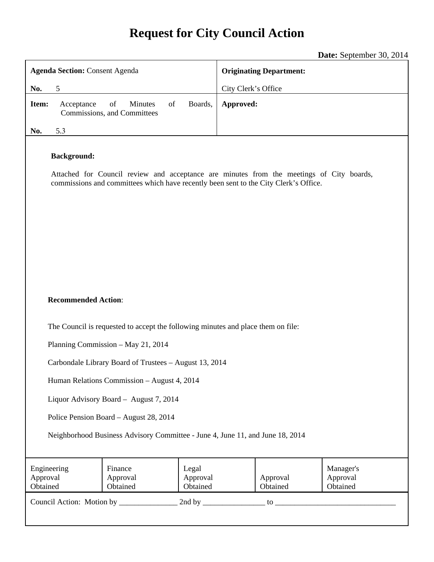# **Request for City Council Action**

**Date:** September 30, 2014

| <b>Agenda Section: Consent Agenda</b>                                                                                                                                                                  |                                                           |                               | <b>Originating Department:</b>                            |  |  |
|--------------------------------------------------------------------------------------------------------------------------------------------------------------------------------------------------------|-----------------------------------------------------------|-------------------------------|-----------------------------------------------------------|--|--|
| 5<br>No.                                                                                                                                                                                               |                                                           |                               | City Clerk's Office                                       |  |  |
| Item:<br>Acceptance                                                                                                                                                                                    | <b>Minutes</b><br>of<br>of<br>Commissions, and Committees | Boards,                       | Approved:                                                 |  |  |
| 5.3<br>No.                                                                                                                                                                                             |                                                           |                               |                                                           |  |  |
| <b>Background:</b><br>Attached for Council review and acceptance are minutes from the meetings of City boards,<br>commissions and committees which have recently been sent to the City Clerk's Office. |                                                           |                               |                                                           |  |  |
| <b>Recommended Action:</b><br>The Council is requested to accept the following minutes and place them on file:                                                                                         |                                                           |                               |                                                           |  |  |
|                                                                                                                                                                                                        | Planning Commission - May 21, 2014                        |                               |                                                           |  |  |
| Carbondale Library Board of Trustees - August 13, 2014                                                                                                                                                 |                                                           |                               |                                                           |  |  |
| Human Relations Commission - August 4, 2014                                                                                                                                                            |                                                           |                               |                                                           |  |  |
| Liquor Advisory Board - August 7, 2014                                                                                                                                                                 |                                                           |                               |                                                           |  |  |
| Police Pension Board - August 28, 2014                                                                                                                                                                 |                                                           |                               |                                                           |  |  |
|                                                                                                                                                                                                        |                                                           |                               |                                                           |  |  |
| Neighborhood Business Advisory Committee - June 4, June 11, and June 18, 2014                                                                                                                          |                                                           |                               |                                                           |  |  |
| Engineering<br>Approval<br>Obtained                                                                                                                                                                    | Finance<br>Approval<br>Obtained                           | Legal<br>Approval<br>Obtained | Manager's<br>Approval<br>Approval<br>Obtained<br>Obtained |  |  |
| $\mathfrak{g}$ to $\overline{\phantom{a}}$                                                                                                                                                             |                                                           |                               |                                                           |  |  |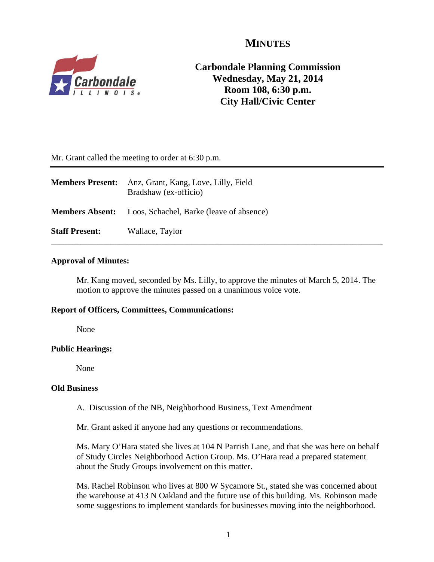## **MINUTES**



## **Carbondale Planning Commission Wednesday, May 21, 2014 Room 108, 6:30 p.m. City Hall/Civic Center**

Mr. Grant called the meeting to order at 6:30 p.m.

| <b>Members Present:</b> | Anz, Grant, Kang, Love, Lilly, Field<br>Bradshaw (ex-officio)   |
|-------------------------|-----------------------------------------------------------------|
|                         | <b>Members Absent:</b> Loos, Schachel, Barke (leave of absence) |
| <b>Staff Present:</b>   | Wallace, Taylor                                                 |

## **Approval of Minutes:**

Mr. Kang moved, seconded by Ms. Lilly, to approve the minutes of March 5, 2014. The motion to approve the minutes passed on a unanimous voice vote.

## **Report of Officers, Committees, Communications:**

None

## **Public Hearings:**

None

## **Old Business**

A. Discussion of the NB, Neighborhood Business, Text Amendment

Mr. Grant asked if anyone had any questions or recommendations.

Ms. Mary O'Hara stated she lives at 104 N Parrish Lane, and that she was here on behalf of Study Circles Neighborhood Action Group. Ms. O'Hara read a prepared statement about the Study Groups involvement on this matter.

Ms. Rachel Robinson who lives at 800 W Sycamore St., stated she was concerned about the warehouse at 413 N Oakland and the future use of this building. Ms. Robinson made some suggestions to implement standards for businesses moving into the neighborhood.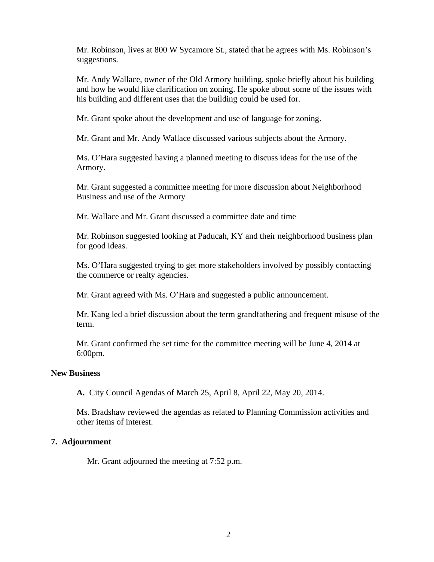Mr. Robinson, lives at 800 W Sycamore St., stated that he agrees with Ms. Robinson's suggestions.

Mr. Andy Wallace, owner of the Old Armory building, spoke briefly about his building and how he would like clarification on zoning. He spoke about some of the issues with his building and different uses that the building could be used for.

Mr. Grant spoke about the development and use of language for zoning.

Mr. Grant and Mr. Andy Wallace discussed various subjects about the Armory.

Ms. O'Hara suggested having a planned meeting to discuss ideas for the use of the Armory.

Mr. Grant suggested a committee meeting for more discussion about Neighborhood Business and use of the Armory

Mr. Wallace and Mr. Grant discussed a committee date and time

Mr. Robinson suggested looking at Paducah, KY and their neighborhood business plan for good ideas.

Ms. O'Hara suggested trying to get more stakeholders involved by possibly contacting the commerce or realty agencies.

Mr. Grant agreed with Ms. O'Hara and suggested a public announcement.

Mr. Kang led a brief discussion about the term grandfathering and frequent misuse of the term.

Mr. Grant confirmed the set time for the committee meeting will be June 4, 2014 at 6:00pm.

#### **New Business**

**A.** City Council Agendas of March 25, April 8, April 22, May 20, 2014.

Ms. Bradshaw reviewed the agendas as related to Planning Commission activities and other items of interest.

## **7. Adjournment**

Mr. Grant adjourned the meeting at 7:52 p.m.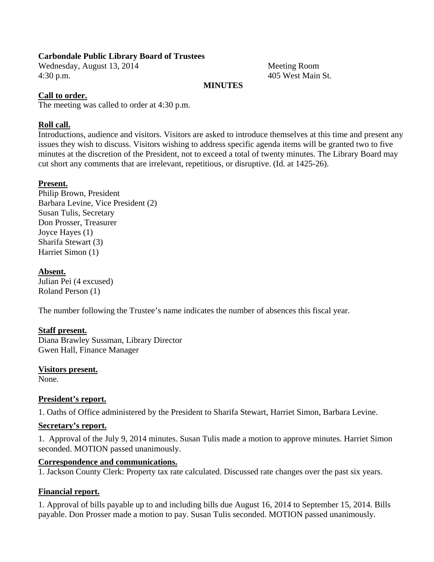## **Carbondale Public Library Board of Trustees**

Wednesday, August 13, 2014 Meeting Room 4:30 p.m. 405 West Main St.

## **MINUTES**

## **Call to order.**

The meeting was called to order at 4:30 p.m.

## **Roll call.**

Introductions, audience and visitors. Visitors are asked to introduce themselves at this time and present any issues they wish to discuss. Visitors wishing to address specific agenda items will be granted two to five minutes at the discretion of the President, not to exceed a total of twenty minutes. The Library Board may cut short any comments that are irrelevant, repetitious, or disruptive. (Id. at 1425-26).

## **Present.**

Philip Brown, President Barbara Levine, Vice President (2) Susan Tulis, Secretary Don Prosser, Treasurer Joyce Hayes (1) Sharifa Stewart (3) Harriet Simon (1)

## **Absent.**

Julian Pei (4 excused) Roland Person (1)

The number following the Trustee's name indicates the number of absences this fiscal year.

## **Staff present.**

Diana Brawley Sussman, Library Director Gwen Hall, Finance Manager

**Visitors present.** 

None.

## **President's report.**

1. Oaths of Office administered by the President to Sharifa Stewart, Harriet Simon, Barbara Levine.

## **Secretary's report.**

1. Approval of the July 9, 2014 minutes. Susan Tulis made a motion to approve minutes. Harriet Simon seconded. MOTION passed unanimously.

## **Correspondence and communications.**

1. Jackson County Clerk: Property tax rate calculated. Discussed rate changes over the past six years.

## **Financial report.**

1. Approval of bills payable up to and including bills due August 16, 2014 to September 15, 2014. Bills payable. Don Prosser made a motion to pay. Susan Tulis seconded. MOTION passed unanimously.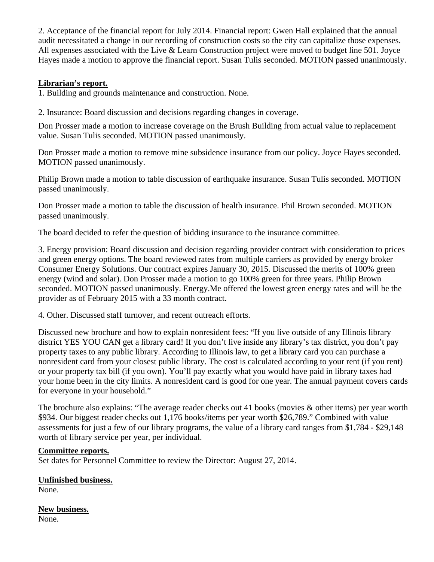2. Acceptance of the financial report for July 2014. Financial report: Gwen Hall explained that the annual audit necessitated a change in our recording of construction costs so the city can capitalize those expenses. All expenses associated with the Live & Learn Construction project were moved to budget line 501. Joyce Hayes made a motion to approve the financial report. Susan Tulis seconded. MOTION passed unanimously.

## **Librarian's report.**

1. Building and grounds maintenance and construction. None.

2. Insurance: Board discussion and decisions regarding changes in coverage.

Don Prosser made a motion to increase coverage on the Brush Building from actual value to replacement value. Susan Tulis seconded. MOTION passed unanimously.

Don Prosser made a motion to remove mine subsidence insurance from our policy. Joyce Hayes seconded. MOTION passed unanimously.

Philip Brown made a motion to table discussion of earthquake insurance. Susan Tulis seconded. MOTION passed unanimously.

Don Prosser made a motion to table the discussion of health insurance. Phil Brown seconded. MOTION passed unanimously.

The board decided to refer the question of bidding insurance to the insurance committee.

3. Energy provision: Board discussion and decision regarding provider contract with consideration to prices and green energy options. The board reviewed rates from multiple carriers as provided by energy broker Consumer Energy Solutions. Our contract expires January 30, 2015. Discussed the merits of 100% green energy (wind and solar). Don Prosser made a motion to go 100% green for three years. Philip Brown seconded. MOTION passed unanimously. Energy.Me offered the lowest green energy rates and will be the provider as of February 2015 with a 33 month contract.

4. Other. Discussed staff turnover, and recent outreach efforts.

Discussed new brochure and how to explain nonresident fees: "If you live outside of any Illinois library district YES YOU CAN get a library card! If you don't live inside any library's tax district, you don't pay property taxes to any public library. According to Illinois law, to get a library card you can purchase a nonresident card from your closest public library. The cost is calculated according to your rent (if you rent) or your property tax bill (if you own). You'll pay exactly what you would have paid in library taxes had your home been in the city limits. A nonresident card is good for one year. The annual payment covers cards for everyone in your household."

The brochure also explains: "The average reader checks out 41 books (movies & other items) per year worth \$934. Our biggest reader checks out 1,176 books/items per year worth \$26,789." Combined with value assessments for just a few of our library programs, the value of a library card ranges from \$1,784 - \$29,148 worth of library service per year, per individual.

## **Committee reports.**

Set dates for Personnel Committee to review the Director: August 27, 2014.

**Unfinished business.** 

None.

**New business.**  None.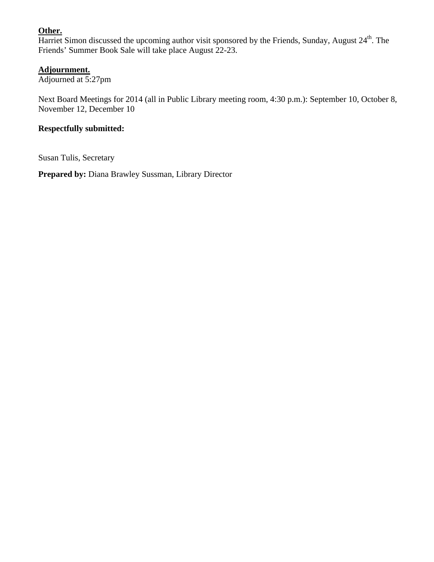## **Other.**

Harriet Simon discussed the upcoming author visit sponsored by the Friends, Sunday, August 24<sup>th</sup>. The Friends' Summer Book Sale will take place August 22-23.

## **Adjournment.**

Adjourned at 5:27pm

Next Board Meetings for 2014 (all in Public Library meeting room, 4:30 p.m.): September 10, October 8, November 12, December 10

## **Respectfully submitted:**

Susan Tulis, Secretary

**Prepared by:** Diana Brawley Sussman, Library Director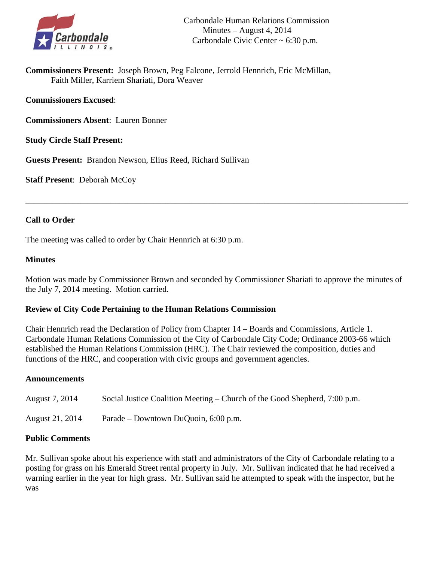

**Commissioners Present:** Joseph Brown, Peg Falcone, Jerrold Hennrich, Eric McMillan, Faith Miller, Karriem Shariati, Dora Weaver

**Commissioners Excused**:

**Commissioners Absent**: Lauren Bonner

**Study Circle Staff Present:** 

**Guests Present:** Brandon Newson, Elius Reed, Richard Sullivan

**Staff Present**: Deborah McCoy

## **Call to Order**

The meeting was called to order by Chair Hennrich at 6:30 p.m.

## **Minutes**

Motion was made by Commissioner Brown and seconded by Commissioner Shariati to approve the minutes of the July 7, 2014 meeting. Motion carried.

\_\_\_\_\_\_\_\_\_\_\_\_\_\_\_\_\_\_\_\_\_\_\_\_\_\_\_\_\_\_\_\_\_\_\_\_\_\_\_\_\_\_\_\_\_\_\_\_\_\_\_\_\_\_\_\_\_\_\_\_\_\_\_\_\_\_\_\_\_\_\_\_\_\_\_\_\_\_\_\_\_\_\_\_\_\_\_\_\_\_

## **Review of City Code Pertaining to the Human Relations Commission**

Chair Hennrich read the Declaration of Policy from Chapter 14 – Boards and Commissions, Article 1. Carbondale Human Relations Commission of the City of Carbondale City Code; Ordinance 2003-66 which established the Human Relations Commission (HRC). The Chair reviewed the composition, duties and functions of the HRC, and cooperation with civic groups and government agencies.

## **Announcements**

| August 7, 2014  | Social Justice Coalition Meeting – Church of the Good Shepherd, $7:00$ p.m. |
|-----------------|-----------------------------------------------------------------------------|
| August 21, 2014 | Parade – Downtown DuQuoin, 6:00 p.m.                                        |

## **Public Comments**

Mr. Sullivan spoke about his experience with staff and administrators of the City of Carbondale relating to a posting for grass on his Emerald Street rental property in July. Mr. Sullivan indicated that he had received a warning earlier in the year for high grass. Mr. Sullivan said he attempted to speak with the inspector, but he was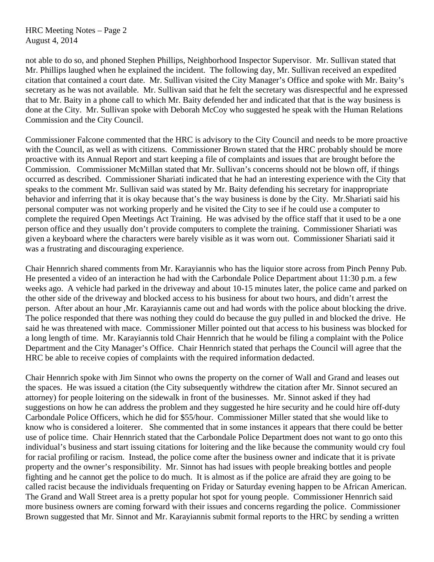HRC Meeting Notes – Page 2 August 4, 2014

not able to do so, and phoned Stephen Phillips, Neighborhood Inspector Supervisor. Mr. Sullivan stated that Mr. Phillips laughed when he explained the incident. The following day, Mr. Sullivan received an expedited citation that contained a court date. Mr. Sullivan visited the City Manager's Office and spoke with Mr. Baity's secretary as he was not available. Mr. Sullivan said that he felt the secretary was disrespectful and he expressed that to Mr. Baity in a phone call to which Mr. Baity defended her and indicated that that is the way business is done at the City. Mr. Sullivan spoke with Deborah McCoy who suggested he speak with the Human Relations Commission and the City Council.

Commissioner Falcone commented that the HRC is advisory to the City Council and needs to be more proactive with the Council, as well as with citizens. Commissioner Brown stated that the HRC probably should be more proactive with its Annual Report and start keeping a file of complaints and issues that are brought before the Commission. Commissioner McMillan stated that Mr. Sullivan's concerns should not be blown off, if things occurred as described. Commissioner Shariati indicated that he had an interesting experience with the City that speaks to the comment Mr. Sullivan said was stated by Mr. Baity defending his secretary for inappropriate behavior and inferring that it is okay because that's the way business is done by the City. Mr.Shariati said his personal computer was not working properly and he visited the City to see if he could use a computer to complete the required Open Meetings Act Training. He was advised by the office staff that it used to be a one person office and they usually don't provide computers to complete the training. Commissioner Shariati was given a keyboard where the characters were barely visible as it was worn out. Commissioner Shariati said it was a frustrating and discouraging experience.

Chair Hennrich shared comments from Mr. Karayiannis who has the liquior store across from Pinch Penny Pub. He presented a video of an interaction he had with the Carbondale Police Department about 11:30 p.m. a few weeks ago. A vehicle had parked in the driveway and about 10-15 minutes later, the police came and parked on the other side of the driveway and blocked access to his business for about two hours, and didn't arrest the person. After about an hour ,Mr. Karayiannis came out and had words with the police about blocking the drive. The police responded that there was nothing they could do because the guy pulled in and blocked the drive. He said he was threatened with mace. Commissioner Miller pointed out that access to his business was blocked for a long length of time. Mr. Karayiannis told Chair Hennrich that he would be filing a complaint with the Police Department and the City Manager's Office. Chair Hennrich stated that perhaps the Council will agree that the HRC be able to receive copies of complaints with the required information dedacted.

Chair Hennrich spoke with Jim Sinnot who owns the property on the corner of Wall and Grand and leases out the spaces. He was issued a citation (the City subsequently withdrew the citation after Mr. Sinnot secured an attorney) for people loitering on the sidewalk in front of the businesses. Mr. Sinnot asked if they had suggestions on how he can address the problem and they suggested he hire security and he could hire off-duty Carbondale Police Officers, which he did for \$55/hour. Commissioner Miller stated that she would like to know who is considered a loiterer. She commented that in some instances it appears that there could be better use of police time. Chair Hennrich stated that the Carbondale Police Department does not want to go onto this individual's business and start issuing citations for loitering and the like because the community would cry foul for racial profiling or racism. Instead, the police come after the business owner and indicate that it is private property and the owner's responsibility. Mr. Sinnot has had issues with people breaking bottles and people fighting and he cannot get the police to do much. It is almost as if the police are afraid they are going to be called racist because the individuals frequenting on Friday or Saturday evening happen to be African American. The Grand and Wall Street area is a pretty popular hot spot for young people. Commissioner Hennrich said more business owners are coming forward with their issues and concerns regarding the police. Commissioner Brown suggested that Mr. Sinnot and Mr. Karayiannis submit formal reports to the HRC by sending a written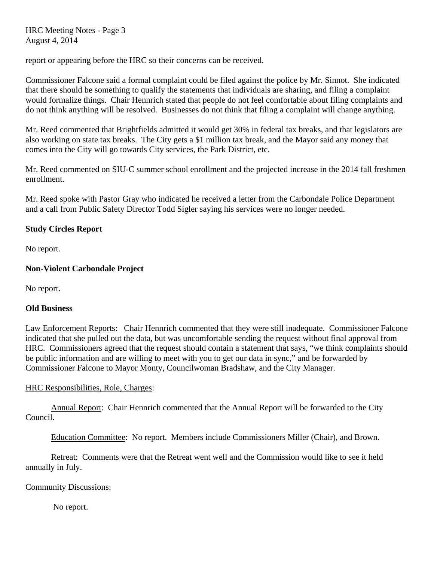HRC Meeting Notes - Page 3 August 4, 2014

report or appearing before the HRC so their concerns can be received.

Commissioner Falcone said a formal complaint could be filed against the police by Mr. Sinnot. She indicated that there should be something to qualify the statements that individuals are sharing, and filing a complaint would formalize things. Chair Hennrich stated that people do not feel comfortable about filing complaints and do not think anything will be resolved. Businesses do not think that filing a complaint will change anything.

Mr. Reed commented that Brightfields admitted it would get 30% in federal tax breaks, and that legislators are also working on state tax breaks. The City gets a \$1 million tax break, and the Mayor said any money that comes into the City will go towards City services, the Park District, etc.

Mr. Reed commented on SIU-C summer school enrollment and the projected increase in the 2014 fall freshmen enrollment.

Mr. Reed spoke with Pastor Gray who indicated he received a letter from the Carbondale Police Department and a call from Public Safety Director Todd Sigler saying his services were no longer needed.

## **Study Circles Report**

No report*.* 

## **Non-Violent Carbondale Project**

No report.

## **Old Business**

Law Enforcement Reports: Chair Hennrich commented that they were still inadequate. Commissioner Falcone indicated that she pulled out the data, but was uncomfortable sending the request without final approval from HRC. Commissioners agreed that the request should contain a statement that says, "we think complaints should be public information and are willing to meet with you to get our data in sync," and be forwarded by Commissioner Falcone to Mayor Monty, Councilwoman Bradshaw, and the City Manager.

## HRC Responsibilities, Role, Charges:

 Annual Report: Chair Hennrich commented that the Annual Report will be forwarded to the City Council.

Education Committee: No report. Members include Commissioners Miller (Chair), and Brown.

 Retreat: Comments were that the Retreat went well and the Commission would like to see it held annually in July.

## Community Discussions:

No report.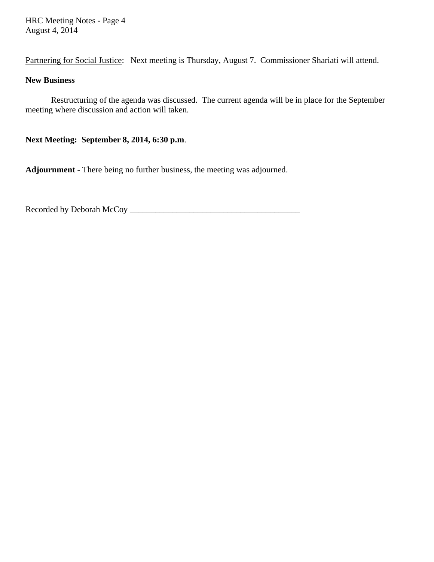HRC Meeting Notes - Page 4 August 4, 2014

Partnering for Social Justice: Next meeting is Thursday, August 7. Commissioner Shariati will attend.

## **New Business**

Restructuring of the agenda was discussed. The current agenda will be in place for the September meeting where discussion and action will taken.

**Next Meeting: September 8, 2014, 6:30 p.m**.

**Adjournment -** There being no further business, the meeting was adjourned.

Recorded by Deborah McCoy \_\_\_\_\_\_\_\_\_\_\_\_\_\_\_\_\_\_\_\_\_\_\_\_\_\_\_\_\_\_\_\_\_\_\_\_\_\_\_\_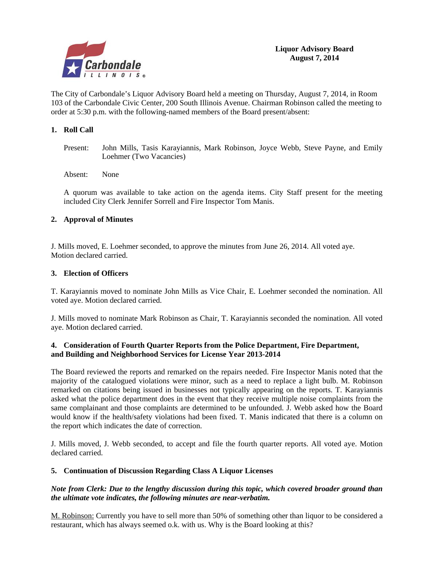

The City of Carbondale's Liquor Advisory Board held a meeting on Thursday, August 7, 2014, in Room 103 of the Carbondale Civic Center, 200 South Illinois Avenue. Chairman Robinson called the meeting to order at 5:30 p.m. with the following-named members of the Board present/absent:

#### **1. Roll Call**

Present: John Mills, Tasis Karayiannis, Mark Robinson, Joyce Webb, Steve Payne, and Emily Loehmer (Two Vacancies)

Absent: None

A quorum was available to take action on the agenda items. City Staff present for the meeting included City Clerk Jennifer Sorrell and Fire Inspector Tom Manis.

#### **2. Approval of Minutes**

J. Mills moved, E. Loehmer seconded, to approve the minutes from June 26, 2014. All voted aye. Motion declared carried.

#### **3. Election of Officers**

T. Karayiannis moved to nominate John Mills as Vice Chair, E. Loehmer seconded the nomination. All voted aye. Motion declared carried.

J. Mills moved to nominate Mark Robinson as Chair, T. Karayiannis seconded the nomination. All voted aye. Motion declared carried.

#### **4. Consideration of Fourth Quarter Reports from the Police Department, Fire Department, and Building and Neighborhood Services for License Year 2013-2014**

The Board reviewed the reports and remarked on the repairs needed. Fire Inspector Manis noted that the majority of the catalogued violations were minor, such as a need to replace a light bulb. M. Robinson remarked on citations being issued in businesses not typically appearing on the reports. T. Karayiannis asked what the police department does in the event that they receive multiple noise complaints from the same complainant and those complaints are determined to be unfounded. J. Webb asked how the Board would know if the health/safety violations had been fixed. T. Manis indicated that there is a column on the report which indicates the date of correction.

J. Mills moved, J. Webb seconded, to accept and file the fourth quarter reports. All voted aye. Motion declared carried.

#### **5. Continuation of Discussion Regarding Class A Liquor Licenses**

#### *Note from Clerk: Due to the lengthy discussion during this topic, which covered broader ground than the ultimate vote indicates, the following minutes are near-verbatim.*

M. Robinson: Currently you have to sell more than 50% of something other than liquor to be considered a restaurant, which has always seemed o.k. with us. Why is the Board looking at this?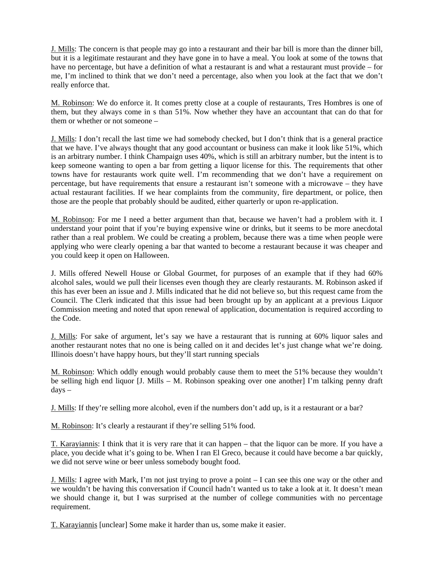J. Mills: The concern is that people may go into a restaurant and their bar bill is more than the dinner bill, but it is a legitimate restaurant and they have gone in to have a meal. You look at some of the towns that have no percentage, but have a definition of what a restaurant is and what a restaurant must provide – for me, I'm inclined to think that we don't need a percentage, also when you look at the fact that we don't really enforce that.

M. Robinson: We do enforce it. It comes pretty close at a couple of restaurants, Tres Hombres is one of them, but they always come in s than 51%. Now whether they have an accountant that can do that for them or whether or not someone –

J. Mills: I don't recall the last time we had somebody checked, but I don't think that is a general practice that we have. I've always thought that any good accountant or business can make it look like 51%, which is an arbitrary number. I think Champaign uses 40%, which is still an arbitrary number, but the intent is to keep someone wanting to open a bar from getting a liquor license for this. The requirements that other towns have for restaurants work quite well. I'm recommending that we don't have a requirement on percentage, but have requirements that ensure a restaurant isn't someone with a microwave – they have actual restaurant facilities. If we hear complaints from the community, fire department, or police, then those are the people that probably should be audited, either quarterly or upon re-application.

M. Robinson: For me I need a better argument than that, because we haven't had a problem with it. I understand your point that if you're buying expensive wine or drinks, but it seems to be more anecdotal rather than a real problem. We could be creating a problem, because there was a time when people were applying who were clearly opening a bar that wanted to become a restaurant because it was cheaper and you could keep it open on Halloween.

J. Mills offered Newell House or Global Gourmet, for purposes of an example that if they had 60% alcohol sales, would we pull their licenses even though they are clearly restaurants. M. Robinson asked if this has ever been an issue and J. Mills indicated that he did not believe so, but this request came from the Council. The Clerk indicated that this issue had been brought up by an applicant at a previous Liquor Commission meeting and noted that upon renewal of application, documentation is required according to the Code.

J. Mills: For sake of argument, let's say we have a restaurant that is running at 60% liquor sales and another restaurant notes that no one is being called on it and decides let's just change what we're doing. Illinois doesn't have happy hours, but they'll start running specials

M. Robinson: Which oddly enough would probably cause them to meet the 51% because they wouldn't be selling high end liquor [J. Mills – M. Robinson speaking over one another] I'm talking penny draft days –

J. Mills: If they're selling more alcohol, even if the numbers don't add up, is it a restaurant or a bar?

M. Robinson: It's clearly a restaurant if they're selling 51% food.

T. Karayiannis: I think that it is very rare that it can happen – that the liquor can be more. If you have a place, you decide what it's going to be. When I ran El Greco, because it could have become a bar quickly, we did not serve wine or beer unless somebody bought food.

J. Mills: I agree with Mark, I'm not just trying to prove a point – I can see this one way or the other and we wouldn't be having this conversation if Council hadn't wanted us to take a look at it. It doesn't mean we should change it, but I was surprised at the number of college communities with no percentage requirement.

T. Karayiannis [unclear] Some make it harder than us, some make it easier.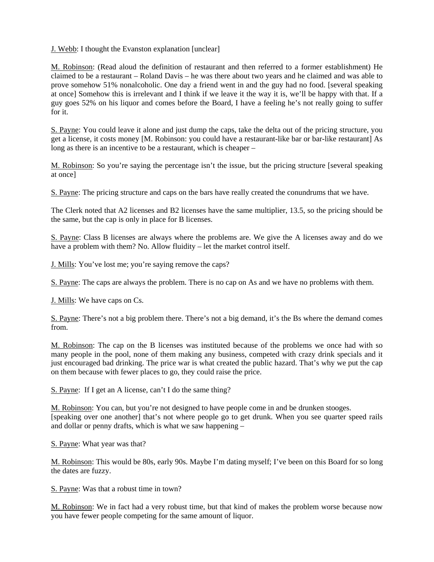J. Webb: I thought the Evanston explanation [unclear]

M. Robinson: (Read aloud the definition of restaurant and then referred to a former establishment) He claimed to be a restaurant – Roland Davis – he was there about two years and he claimed and was able to prove somehow 51% nonalcoholic. One day a friend went in and the guy had no food. [several speaking at once] Somehow this is irrelevant and I think if we leave it the way it is, we'll be happy with that. If a guy goes 52% on his liquor and comes before the Board, I have a feeling he's not really going to suffer for it.

S. Payne: You could leave it alone and just dump the caps, take the delta out of the pricing structure, you get a license, it costs money [M. Robinson: you could have a restaurant-like bar or bar-like restaurant] As long as there is an incentive to be a restaurant, which is cheaper –

M. Robinson: So you're saying the percentage isn't the issue, but the pricing structure [several speaking at once]

S. Payne: The pricing structure and caps on the bars have really created the conundrums that we have.

The Clerk noted that A2 licenses and B2 licenses have the same multiplier, 13.5, so the pricing should be the same, but the cap is only in place for B licenses.

S. Payne: Class B licenses are always where the problems are. We give the A licenses away and do we have a problem with them? No. Allow fluidity – let the market control itself.

J. Mills: You've lost me; you're saying remove the caps?

S. Payne: The caps are always the problem. There is no cap on As and we have no problems with them.

J. Mills: We have caps on Cs.

S. Payne: There's not a big problem there. There's not a big demand, it's the Bs where the demand comes from.

M. Robinson: The cap on the B licenses was instituted because of the problems we once had with so many people in the pool, none of them making any business, competed with crazy drink specials and it just encouraged bad drinking. The price war is what created the public hazard. That's why we put the cap on them because with fewer places to go, they could raise the price.

S. Payne: If I get an A license, can't I do the same thing?

M. Robinson: You can, but you're not designed to have people come in and be drunken stooges. [speaking over one another] that's not where people go to get drunk. When you see quarter speed rails and dollar or penny drafts, which is what we saw happening –

S. Payne: What year was that?

M. Robinson: This would be 80s, early 90s. Maybe I'm dating myself; I've been on this Board for so long the dates are fuzzy.

S. Payne: Was that a robust time in town?

M. Robinson: We in fact had a very robust time, but that kind of makes the problem worse because now you have fewer people competing for the same amount of liquor.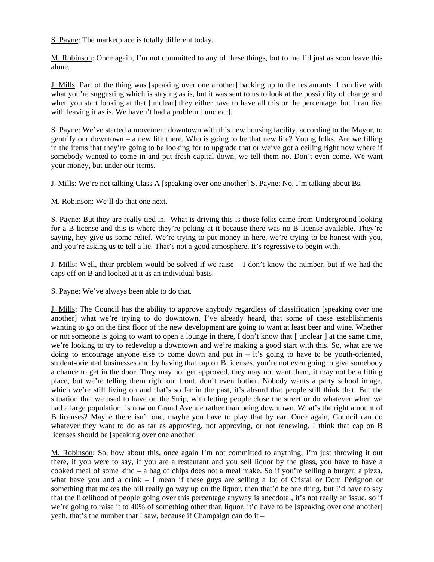S. Payne: The marketplace is totally different today.

M. Robinson: Once again, I'm not committed to any of these things, but to me I'd just as soon leave this alone.

J. Mills: Part of the thing was [speaking over one another] backing up to the restaurants, I can live with what you're suggesting which is staying as is, but it was sent to us to look at the possibility of change and when you start looking at that [unclear] they either have to have all this or the percentage, but I can live with leaving it as is. We haven't had a problem [unclear].

S. Payne: We've started a movement downtown with this new housing facility, according to the Mayor, to gentrify our downtown – a new life there. Who is going to be that new life? Young folks. Are we filling in the items that they're going to be looking for to upgrade that or we've got a ceiling right now where if somebody wanted to come in and put fresh capital down, we tell them no. Don't even come. We want your money, but under our terms.

J. Mills: We're not talking Class A [speaking over one another] S. Payne: No, I'm talking about Bs.

M. Robinson: We'll do that one next.

S. Payne: But they are really tied in. What is driving this is those folks came from Underground looking for a B license and this is where they're poking at it because there was no B license available. They're saying, hey give us some relief. We're trying to put money in here, we're trying to be honest with you, and you're asking us to tell a lie. That's not a good atmosphere. It's regressive to begin with.

J. Mills: Well, their problem would be solved if we raise – I don't know the number, but if we had the caps off on B and looked at it as an individual basis.

S. Payne: We've always been able to do that.

J. Mills: The Council has the ability to approve anybody regardless of classification [speaking over one another] what we're trying to do downtown, I've already heard, that some of these establishments wanting to go on the first floor of the new development are going to want at least beer and wine. Whether or not someone is going to want to open a lounge in there, I don't know that [ unclear ] at the same time, we're looking to try to redevelop a downtown and we're making a good start with this. So, what are we doing to encourage anyone else to come down and put in  $-$  it's going to have to be youth-oriented, student-oriented businesses and by having that cap on B licenses, you're not even going to give somebody a chance to get in the door. They may not get approved, they may not want them, it may not be a fitting place, but we're telling them right out front, don't even bother. Nobody wants a party school image, which we're still living on and that's so far in the past, it's absurd that people still think that. But the situation that we used to have on the Strip, with letting people close the street or do whatever when we had a large population, is now on Grand Avenue rather than being downtown. What's the right amount of B licenses? Maybe there isn't one, maybe you have to play that by ear. Once again, Council can do whatever they want to do as far as approving, not approving, or not renewing. I think that cap on B licenses should be [speaking over one another]

M. Robinson: So, how about this, once again I'm not committed to anything, I'm just throwing it out there, if you were to say, if you are a restaurant and you sell liquor by the glass, you have to have a cooked meal of some kind – a bag of chips does not a meal make. So if you're selling a burger, a pizza, what have you and a drink – I mean if these guys are selling a lot of Cristal or Dom Pérignon or something that makes the bill really go way up on the liquor, then that'd be one thing, but I'd have to say that the likelihood of people going over this percentage anyway is anecdotal, it's not really an issue, so if we're going to raise it to 40% of something other than liquor, it'd have to be [speaking over one another] yeah, that's the number that I saw, because if Champaign can do it –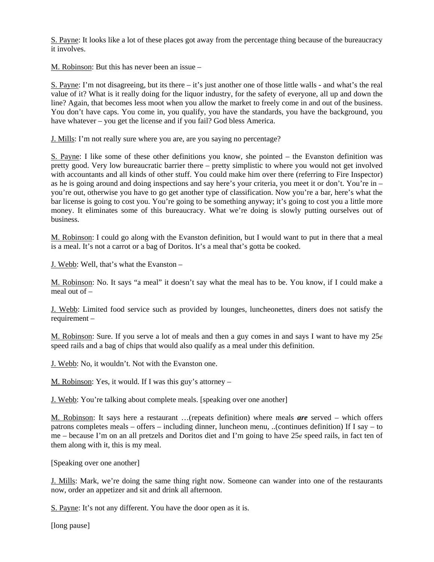S. Payne: It looks like a lot of these places got away from the percentage thing because of the bureaucracy it involves.

M. Robinson: But this has never been an issue –

S. Payne: I'm not disagreeing, but its there – it's just another one of those little walls - and what's the real value of it? What is it really doing for the liquor industry, for the safety of everyone, all up and down the line? Again, that becomes less moot when you allow the market to freely come in and out of the business. You don't have caps. You come in, you qualify, you have the standards, you have the background, you have whatever – you get the license and if you fail? God bless America.

J. Mills: I'm not really sure where you are, are you saying no percentage?

S. Payne: I like some of these other definitions you know, she pointed – the Evanston definition was pretty good. Very low bureaucratic barrier there – pretty simplistic to where you would not get involved with accountants and all kinds of other stuff. You could make him over there (referring to Fire Inspector) as he is going around and doing inspections and say here's your criteria, you meet it or don't. You're in – you're out, otherwise you have to go get another type of classification. Now you're a bar, here's what the bar license is going to cost you. You're going to be something anyway; it's going to cost you a little more money. It eliminates some of this bureaucracy. What we're doing is slowly putting ourselves out of business.

M. Robinson: I could go along with the Evanston definition, but I would want to put in there that a meal is a meal. It's not a carrot or a bag of Doritos. It's a meal that's gotta be cooked.

J. Webb: Well, that's what the Evanston –

M. Robinson: No. It says "a meal" it doesn't say what the meal has to be. You know, if I could make a meal out of –

J. Webb: Limited food service such as provided by lounges, luncheonettes, diners does not satisfy the requirement –

M. Robinson: Sure. If you serve a lot of meals and then a guy comes in and says I want to have my  $25\epsilon$ speed rails and a bag of chips that would also qualify as a meal under this definition.

J. Webb: No, it wouldn't. Not with the Evanston one.

M. Robinson: Yes, it would. If I was this guy's attorney –

J. Webb: You're talking about complete meals. [speaking over one another]

M. Robinson: It says here a restaurant …(repeats definition) where meals *are* served – which offers patrons completes meals – offers – including dinner, luncheon menu, ..(continues definition) If I say – to me – because I'm on an all pretzels and Doritos diet and I'm going to have  $25¢$  speed rails, in fact ten of them along with it, this is my meal.

[Speaking over one another]

J. Mills: Mark, we're doing the same thing right now. Someone can wander into one of the restaurants now, order an appetizer and sit and drink all afternoon.

S. Payne: It's not any different. You have the door open as it is.

[long pause]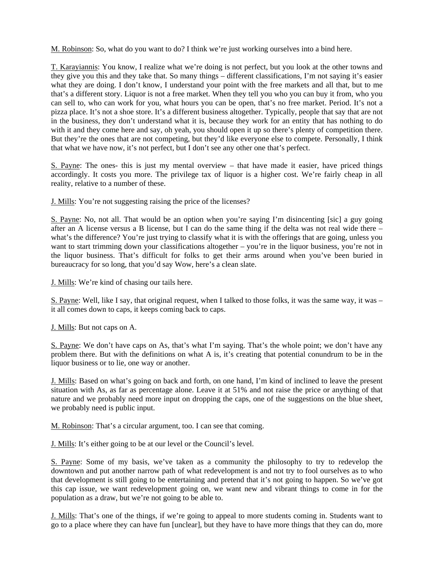M. Robinson: So, what do you want to do? I think we're just working ourselves into a bind here.

T. Karayiannis: You know, I realize what we're doing is not perfect, but you look at the other towns and they give you this and they take that. So many things – different classifications, I'm not saying it's easier what they are doing. I don't know, I understand your point with the free markets and all that, but to me that's a different story. Liquor is not a free market. When they tell you who you can buy it from, who you can sell to, who can work for you, what hours you can be open, that's no free market. Period. It's not a pizza place. It's not a shoe store. It's a different business altogether. Typically, people that say that are not in the business, they don't understand what it is, because they work for an entity that has nothing to do with it and they come here and say, oh yeah, you should open it up so there's plenty of competition there. But they're the ones that are not competing, but they'd like everyone else to compete. Personally, I think that what we have now, it's not perfect, but I don't see any other one that's perfect.

S. Payne: The ones- this is just my mental overview – that have made it easier, have priced things accordingly. It costs you more. The privilege tax of liquor is a higher cost. We're fairly cheap in all reality, relative to a number of these.

J. Mills: You're not suggesting raising the price of the licenses?

S. Payne: No, not all. That would be an option when you're saying I'm disincenting [sic] a guy going after an A license versus a B license, but I can do the same thing if the delta was not real wide there – what's the difference? You're just trying to classify what it is with the offerings that are going, unless you want to start trimming down your classifications altogether – you're in the liquor business, you're not in the liquor business. That's difficult for folks to get their arms around when you've been buried in bureaucracy for so long, that you'd say Wow, here's a clean slate.

J. Mills: We're kind of chasing our tails here.

S. Payne: Well, like I say, that original request, when I talked to those folks, it was the same way, it was – it all comes down to caps, it keeps coming back to caps.

J. Mills: But not caps on A.

S. Payne: We don't have caps on As, that's what I'm saying. That's the whole point; we don't have any problem there. But with the definitions on what A is, it's creating that potential conundrum to be in the liquor business or to lie, one way or another.

J. Mills: Based on what's going on back and forth, on one hand, I'm kind of inclined to leave the present situation with As, as far as percentage alone. Leave it at 51% and not raise the price or anything of that nature and we probably need more input on dropping the caps, one of the suggestions on the blue sheet, we probably need is public input.

M. Robinson: That's a circular argument, too. I can see that coming.

J. Mills: It's either going to be at our level or the Council's level.

S. Payne: Some of my basis, we've taken as a community the philosophy to try to redevelop the downtown and put another narrow path of what redevelopment is and not try to fool ourselves as to who that development is still going to be entertaining and pretend that it's not going to happen. So we've got this cap issue, we want redevelopment going on, we want new and vibrant things to come in for the population as a draw, but we're not going to be able to.

J. Mills: That's one of the things, if we're going to appeal to more students coming in. Students want to go to a place where they can have fun [unclear], but they have to have more things that they can do, more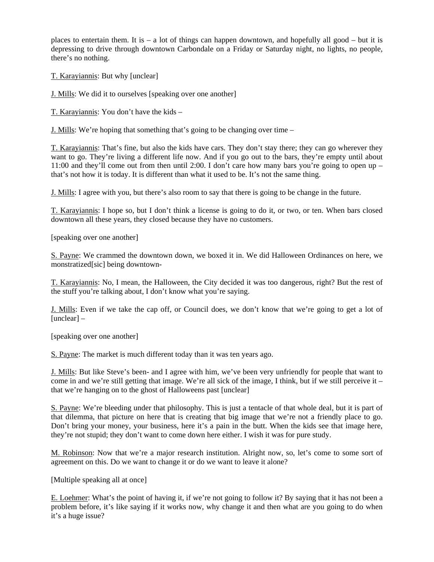places to entertain them. It is – a lot of things can happen downtown, and hopefully all good – but it is depressing to drive through downtown Carbondale on a Friday or Saturday night, no lights, no people, there's no nothing.

T. Karayiannis: But why [unclear]

J. Mills: We did it to ourselves [speaking over one another]

T. Karayiannis: You don't have the kids –

J. Mills: We're hoping that something that's going to be changing over time –

T. Karayiannis: That's fine, but also the kids have cars. They don't stay there; they can go wherever they want to go. They're living a different life now. And if you go out to the bars, they're empty until about 11:00 and they'll come out from then until 2:00. I don't care how many bars you're going to open up – that's not how it is today. It is different than what it used to be. It's not the same thing.

J. Mills: I agree with you, but there's also room to say that there is going to be change in the future.

T. Karayiannis: I hope so, but I don't think a license is going to do it, or two, or ten. When bars closed downtown all these years, they closed because they have no customers.

[speaking over one another]

S. Payne: We crammed the downtown down, we boxed it in. We did Halloween Ordinances on here, we monstratized[sic] being downtown-

T. Karayiannis: No, I mean, the Halloween, the City decided it was too dangerous, right? But the rest of the stuff you're talking about, I don't know what you're saying.

J. Mills: Even if we take the cap off, or Council does, we don't know that we're going to get a lot of [unclear] –

[speaking over one another]

S. Payne: The market is much different today than it was ten years ago.

J. Mills: But like Steve's been- and I agree with him, we've been very unfriendly for people that want to come in and we're still getting that image. We're all sick of the image, I think, but if we still perceive it  $$ that we're hanging on to the ghost of Halloweens past [unclear]

S. Payne: We're bleeding under that philosophy. This is just a tentacle of that whole deal, but it is part of that dilemma, that picture on here that is creating that big image that we're not a friendly place to go. Don't bring your money, your business, here it's a pain in the butt. When the kids see that image here, they're not stupid; they don't want to come down here either. I wish it was for pure study.

M. Robinson: Now that we're a major research institution. Alright now, so, let's come to some sort of agreement on this. Do we want to change it or do we want to leave it alone?

[Multiple speaking all at once]

E. Loehmer: What's the point of having it, if we're not going to follow it? By saying that it has not been a problem before, it's like saying if it works now, why change it and then what are you going to do when it's a huge issue?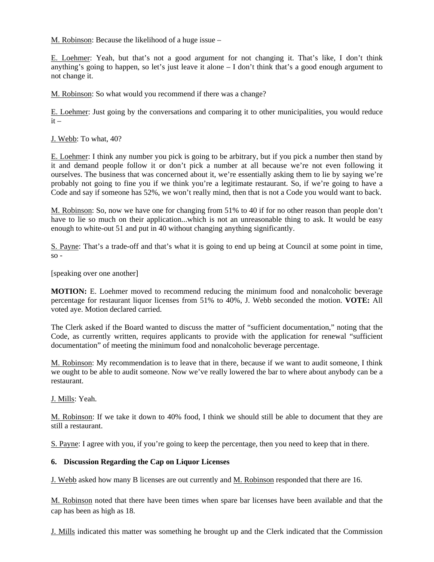M. Robinson: Because the likelihood of a huge issue –

E. Loehmer: Yeah, but that's not a good argument for not changing it. That's like, I don't think anything's going to happen, so let's just leave it alone – I don't think that's a good enough argument to not change it.

M. Robinson: So what would you recommend if there was a change?

E. Loehmer: Just going by the conversations and comparing it to other municipalities, you would reduce  $it -$ 

J. Webb: To what, 40?

E. Loehmer: I think any number you pick is going to be arbitrary, but if you pick a number then stand by it and demand people follow it or don't pick a number at all because we're not even following it ourselves. The business that was concerned about it, we're essentially asking them to lie by saying we're probably not going to fine you if we think you're a legitimate restaurant. So, if we're going to have a Code and say if someone has 52%, we won't really mind, then that is not a Code you would want to back.

M. Robinson: So, now we have one for changing from 51% to 40 if for no other reason than people don't have to lie so much on their application...which is not an unreasonable thing to ask. It would be easy enough to white-out 51 and put in 40 without changing anything significantly.

S. Payne: That's a trade-off and that's what it is going to end up being at Council at some point in time,  $so -$ 

[speaking over one another]

**MOTION:** E. Loehmer moved to recommend reducing the minimum food and nonalcoholic beverage percentage for restaurant liquor licenses from 51% to 40%, J. Webb seconded the motion. **VOTE:** All voted aye. Motion declared carried.

The Clerk asked if the Board wanted to discuss the matter of "sufficient documentation," noting that the Code, as currently written, requires applicants to provide with the application for renewal "sufficient documentation" of meeting the minimum food and nonalcoholic beverage percentage.

M. Robinson: My recommendation is to leave that in there, because if we want to audit someone, I think we ought to be able to audit someone. Now we've really lowered the bar to where about anybody can be a restaurant.

J. Mills: Yeah.

M. Robinson: If we take it down to 40% food, I think we should still be able to document that they are still a restaurant.

S. Payne: I agree with you, if you're going to keep the percentage, then you need to keep that in there.

#### **6. Discussion Regarding the Cap on Liquor Licenses**

J. Webb asked how many B licenses are out currently and M. Robinson responded that there are 16.

M. Robinson noted that there have been times when spare bar licenses have been available and that the cap has been as high as 18.

J. Mills indicated this matter was something he brought up and the Clerk indicated that the Commission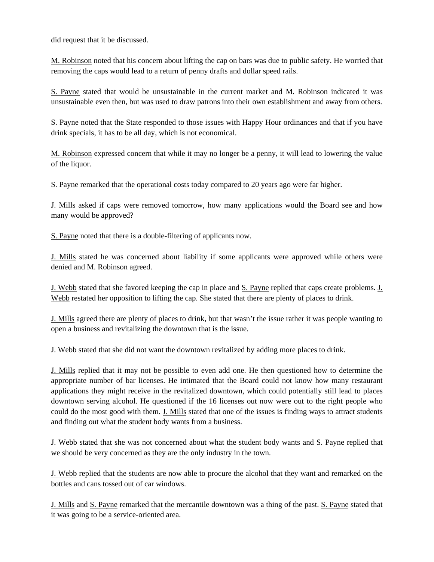did request that it be discussed.

M. Robinson noted that his concern about lifting the cap on bars was due to public safety. He worried that removing the caps would lead to a return of penny drafts and dollar speed rails.

S. Payne stated that would be unsustainable in the current market and M. Robinson indicated it was unsustainable even then, but was used to draw patrons into their own establishment and away from others.

S. Payne noted that the State responded to those issues with Happy Hour ordinances and that if you have drink specials, it has to be all day, which is not economical.

M. Robinson expressed concern that while it may no longer be a penny, it will lead to lowering the value of the liquor.

S. Payne remarked that the operational costs today compared to 20 years ago were far higher.

J. Mills asked if caps were removed tomorrow, how many applications would the Board see and how many would be approved?

S. Payne noted that there is a double-filtering of applicants now.

J. Mills stated he was concerned about liability if some applicants were approved while others were denied and M. Robinson agreed.

J. Webb stated that she favored keeping the cap in place and S. Payne replied that caps create problems. J. Webb restated her opposition to lifting the cap. She stated that there are plenty of places to drink.

J. Mills agreed there are plenty of places to drink, but that wasn't the issue rather it was people wanting to open a business and revitalizing the downtown that is the issue.

J. Webb stated that she did not want the downtown revitalized by adding more places to drink.

J. Mills replied that it may not be possible to even add one. He then questioned how to determine the appropriate number of bar licenses. He intimated that the Board could not know how many restaurant applications they might receive in the revitalized downtown, which could potentially still lead to places downtown serving alcohol. He questioned if the 16 licenses out now were out to the right people who could do the most good with them. J. Mills stated that one of the issues is finding ways to attract students and finding out what the student body wants from a business.

J. Webb stated that she was not concerned about what the student body wants and S. Payne replied that we should be very concerned as they are the only industry in the town.

J. Webb replied that the students are now able to procure the alcohol that they want and remarked on the bottles and cans tossed out of car windows.

J. Mills and S. Payne remarked that the mercantile downtown was a thing of the past. S. Payne stated that it was going to be a service-oriented area.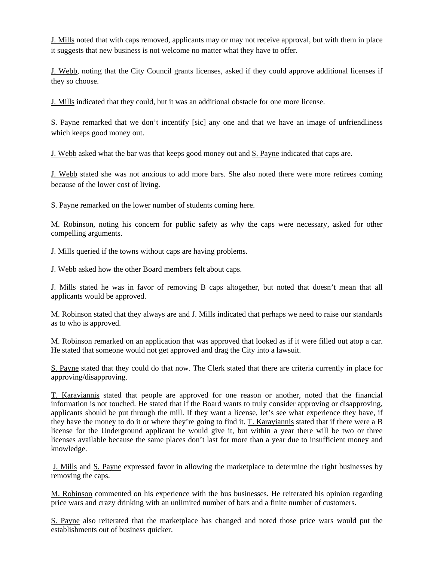J. Mills noted that with caps removed, applicants may or may not receive approval, but with them in place it suggests that new business is not welcome no matter what they have to offer.

J. Webb, noting that the City Council grants licenses, asked if they could approve additional licenses if they so choose.

J. Mills indicated that they could, but it was an additional obstacle for one more license.

S. Payne remarked that we don't incentify [sic] any one and that we have an image of unfriendliness which keeps good money out.

J. Webb asked what the bar was that keeps good money out and S. Payne indicated that caps are.

J. Webb stated she was not anxious to add more bars. She also noted there were more retirees coming because of the lower cost of living.

S. Payne remarked on the lower number of students coming here.

M. Robinson, noting his concern for public safety as why the caps were necessary, asked for other compelling arguments.

J. Mills queried if the towns without caps are having problems.

J. Webb asked how the other Board members felt about caps.

J. Mills stated he was in favor of removing B caps altogether, but noted that doesn't mean that all applicants would be approved.

M. Robinson stated that they always are and J. Mills indicated that perhaps we need to raise our standards as to who is approved.

M. Robinson remarked on an application that was approved that looked as if it were filled out atop a car. He stated that someone would not get approved and drag the City into a lawsuit.

S. Payne stated that they could do that now. The Clerk stated that there are criteria currently in place for approving/disapproving.

T. Karayiannis stated that people are approved for one reason or another, noted that the financial information is not touched. He stated that if the Board wants to truly consider approving or disapproving, applicants should be put through the mill. If they want a license, let's see what experience they have, if they have the money to do it or where they're going to find it. T. Karayiannis stated that if there were a B license for the Underground applicant he would give it, but within a year there will be two or three licenses available because the same places don't last for more than a year due to insufficient money and knowledge.

 J. Mills and S. Payne expressed favor in allowing the marketplace to determine the right businesses by removing the caps.

M. Robinson commented on his experience with the bus businesses. He reiterated his opinion regarding price wars and crazy drinking with an unlimited number of bars and a finite number of customers.

S. Payne also reiterated that the marketplace has changed and noted those price wars would put the establishments out of business quicker.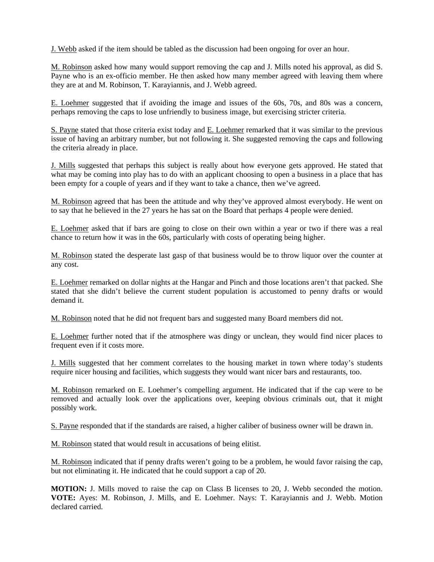J. Webb asked if the item should be tabled as the discussion had been ongoing for over an hour.

M. Robinson asked how many would support removing the cap and J. Mills noted his approval, as did S. Payne who is an ex-officio member. He then asked how many member agreed with leaving them where they are at and M. Robinson, T. Karayiannis, and J. Webb agreed.

E. Loehmer suggested that if avoiding the image and issues of the 60s, 70s, and 80s was a concern, perhaps removing the caps to lose unfriendly to business image, but exercising stricter criteria.

S. Payne stated that those criteria exist today and E. Loehmer remarked that it was similar to the previous issue of having an arbitrary number, but not following it. She suggested removing the caps and following the criteria already in place.

J. Mills suggested that perhaps this subject is really about how everyone gets approved. He stated that what may be coming into play has to do with an applicant choosing to open a business in a place that has been empty for a couple of years and if they want to take a chance, then we've agreed.

M. Robinson agreed that has been the attitude and why they've approved almost everybody. He went on to say that he believed in the 27 years he has sat on the Board that perhaps 4 people were denied.

E. Loehmer asked that if bars are going to close on their own within a year or two if there was a real chance to return how it was in the 60s, particularly with costs of operating being higher.

M. Robinson stated the desperate last gasp of that business would be to throw liquor over the counter at any cost.

E. Loehmer remarked on dollar nights at the Hangar and Pinch and those locations aren't that packed. She stated that she didn't believe the current student population is accustomed to penny drafts or would demand it.

M. Robinson noted that he did not frequent bars and suggested many Board members did not.

E. Loehmer further noted that if the atmosphere was dingy or unclean, they would find nicer places to frequent even if it costs more.

J. Mills suggested that her comment correlates to the housing market in town where today's students require nicer housing and facilities, which suggests they would want nicer bars and restaurants, too.

M. Robinson remarked on E. Loehmer's compelling argument. He indicated that if the cap were to be removed and actually look over the applications over, keeping obvious criminals out, that it might possibly work.

S. Payne responded that if the standards are raised, a higher caliber of business owner will be drawn in.

M. Robinson stated that would result in accusations of being elitist.

M. Robinson indicated that if penny drafts weren't going to be a problem, he would favor raising the cap, but not eliminating it. He indicated that he could support a cap of 20.

**MOTION:** J. Mills moved to raise the cap on Class B licenses to 20, J. Webb seconded the motion. **VOTE:** Ayes: M. Robinson, J. Mills, and E. Loehmer. Nays: T. Karayiannis and J. Webb. Motion declared carried.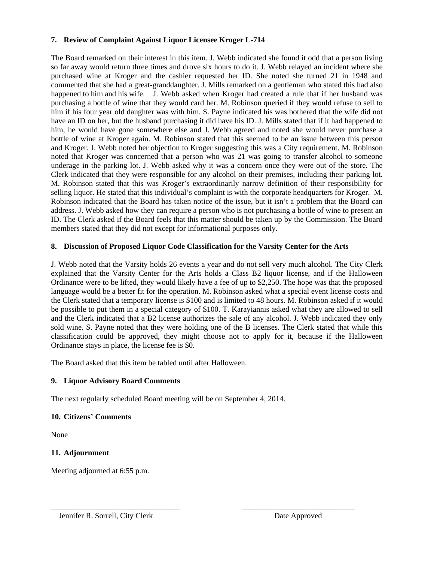#### **7. Review of Complaint Against Liquor Licensee Kroger L-714**

The Board remarked on their interest in this item. J. Webb indicated she found it odd that a person living so far away would return three times and drove six hours to do it. J. Webb relayed an incident where she purchased wine at Kroger and the cashier requested her ID. She noted she turned 21 in 1948 and commented that she had a great-granddaughter. J. Mills remarked on a gentleman who stated this had also happened to him and his wife. J. Webb asked when Kroger had created a rule that if her husband was purchasing a bottle of wine that they would card her. M. Robinson queried if they would refuse to sell to him if his four year old daughter was with him. S. Payne indicated his was bothered that the wife did not have an ID on her, but the husband purchasing it did have his ID. J. Mills stated that if it had happened to him, he would have gone somewhere else and J. Webb agreed and noted she would never purchase a bottle of wine at Kroger again. M. Robinson stated that this seemed to be an issue between this person and Kroger. J. Webb noted her objection to Kroger suggesting this was a City requirement. M. Robinson noted that Kroger was concerned that a person who was 21 was going to transfer alcohol to someone underage in the parking lot. J. Webb asked why it was a concern once they were out of the store. The Clerk indicated that they were responsible for any alcohol on their premises, including their parking lot. M. Robinson stated that this was Kroger's extraordinarily narrow definition of their responsibility for selling liquor. He stated that this individual's complaint is with the corporate headquarters for Kroger. M. Robinson indicated that the Board has taken notice of the issue, but it isn't a problem that the Board can address. J. Webb asked how they can require a person who is not purchasing a bottle of wine to present an ID. The Clerk asked if the Board feels that this matter should be taken up by the Commission. The Board members stated that they did not except for informational purposes only.

## **8. Discussion of Proposed Liquor Code Classification for the Varsity Center for the Arts**

J. Webb noted that the Varsity holds 26 events a year and do not sell very much alcohol. The City Clerk explained that the Varsity Center for the Arts holds a Class B2 liquor license, and if the Halloween Ordinance were to be lifted, they would likely have a fee of up to \$2,250. The hope was that the proposed language would be a better fit for the operation. M. Robinson asked what a special event license costs and the Clerk stated that a temporary license is \$100 and is limited to 48 hours. M. Robinson asked if it would be possible to put them in a special category of \$100. T. Karayiannis asked what they are allowed to sell and the Clerk indicated that a B2 license authorizes the sale of any alcohol. J. Webb indicated they only sold wine. S. Payne noted that they were holding one of the B licenses. The Clerk stated that while this classification could be approved, they might choose not to apply for it, because if the Halloween Ordinance stays in place, the license fee is \$0.

\_\_\_\_\_\_\_\_\_\_\_\_\_\_\_\_\_\_\_\_\_\_\_\_\_\_\_\_\_\_\_\_\_ \_\_\_\_\_\_\_\_\_\_\_\_\_\_\_\_\_\_\_\_\_\_\_\_\_\_\_\_\_

The Board asked that this item be tabled until after Halloween.

## **9. Liquor Advisory Board Comments**

The next regularly scheduled Board meeting will be on September 4, 2014.

## **10. Citizens' Comments**

None

## **11. Adjournment**

Meeting adjourned at 6:55 p.m.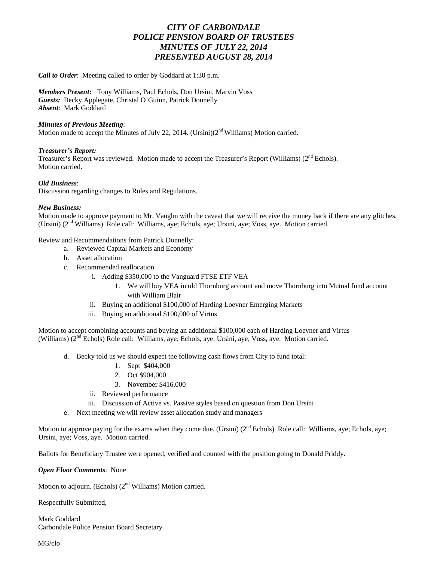## *CITY OF CARBONDALE POLICE PENSION BOARD OF TRUSTEES MINUTES OF JULY 22, 2014 PRESENTED AUGUST 28, 2014*

*Call to Order*: Meeting called to order by Goddard at 1:30 p.m.

*Members Present***:** Tony Williams, Paul Echols, Don Ursini, Marvin Voss *Guests:* Becky Applegate, Christal O'Guinn, Patrick Donnelly *Absent*: Mark Goddard

#### *Minutes of Previous Meeting*:

Motion made to accept the Minutes of July 22, 2014. (Ursini) $(2<sup>nd</sup> Williams)$  Motion carried.

#### *Treasurer's Report:*

Treasurer's Report was reviewed. Motion made to accept the Treasurer's Report (Williams) (2<sup>nd</sup> Echols). Motion carried.

#### *Old Business*:

Discussion regarding changes to Rules and Regulations.

#### *New Business:*

Motion made to approve payment to Mr. Vaughn with the caveat that we will receive the money back if there are any glitches. (Ursini) (2nd Williams) Role call: Williams, aye; Echols, aye; Ursini, aye; Voss, aye. Motion carried.

Review and Recommendations from Patrick Donnelly:

- a. Reviewed Capital Markets and Economy
- b. Asset allocation
- c. Recommended reallocation
	- i. Adding \$350,000 to the Vanguard FTSE ETF VEA
		- 1. We will buy VEA in old Thornburg account and move Thornburg into Mutual fund account with William Blair
	- ii. Buying an additional \$100,000 of Harding Loevner Emerging Markets
	- iii. Buying an additional \$100,000 of Virtus

Motion to accept combining accounts and buying an additional \$100,000 each of Harding Loevner and Virtus (Williams) (2nd Echols) Role call: Williams, aye; Echols, aye; Ursini, aye; Voss, aye. Motion carried.

- d. Becky told us we should expect the following cash flows from City to fund total:
	- 1. Sept \$404,000
	- 2. Oct \$904,000
	- 3. November \$416,000
	- ii. Reviewed performance
	- iii. Discussion of Active vs. Passive styles based on question from Don Ursini
- e. Next meeting we will review asset allocation study and managers

Motion to approve paying for the exams when they come due. (Ursini) (2<sup>nd</sup> Echols) Role call: Williams, aye; Echols, ave; Ursini, aye; Voss, aye. Motion carried.

Ballots for Beneficiary Trustee were opened, verified and counted with the position going to Donald Priddy.

*Open Floor Comments*: None

Motion to adjourn. (Echols)  $(2<sup>nd</sup> Williams)$  Motion carried.

Respectfully Submitted,

Mark Goddard Carbondale Police Pension Board Secretary

MG/clo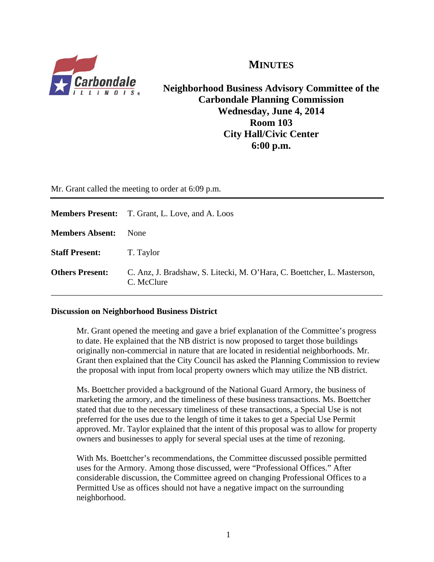

**MINUTES**

**Neighborhood Business Advisory Committee of the Carbondale Planning Commission Wednesday, June 4, 2014 Room 103 City Hall/Civic Center 6:00 p.m.** 

Mr. Grant called the meeting to order at 6:09 p.m.

|                        | <b>Members Present:</b> T. Grant, L. Love, and A. Loos                                |
|------------------------|---------------------------------------------------------------------------------------|
| <b>Members Absent:</b> | None                                                                                  |
| <b>Staff Present:</b>  | T. Taylor                                                                             |
| <b>Others Present:</b> | C. Anz. J. Bradshaw, S. Litecki, M. O'Hara, C. Boettcher, L. Masterson,<br>C. McClure |

## **Discussion on Neighborhood Business District**

Mr. Grant opened the meeting and gave a brief explanation of the Committee's progress to date. He explained that the NB district is now proposed to target those buildings originally non-commercial in nature that are located in residential neighborhoods. Mr. Grant then explained that the City Council has asked the Planning Commission to review the proposal with input from local property owners which may utilize the NB district.

 Ms. Boettcher provided a background of the National Guard Armory, the business of marketing the armory, and the timeliness of these business transactions. Ms. Boettcher stated that due to the necessary timeliness of these transactions, a Special Use is not preferred for the uses due to the length of time it takes to get a Special Use Permit approved. Mr. Taylor explained that the intent of this proposal was to allow for property owners and businesses to apply for several special uses at the time of rezoning.

 With Ms. Boettcher's recommendations, the Committee discussed possible permitted uses for the Armory. Among those discussed, were "Professional Offices." After considerable discussion, the Committee agreed on changing Professional Offices to a Permitted Use as offices should not have a negative impact on the surrounding neighborhood.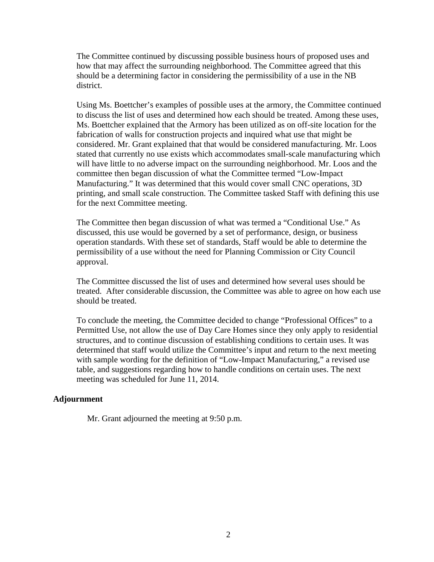The Committee continued by discussing possible business hours of proposed uses and how that may affect the surrounding neighborhood. The Committee agreed that this should be a determining factor in considering the permissibility of a use in the NB district.

 Using Ms. Boettcher's examples of possible uses at the armory, the Committee continued to discuss the list of uses and determined how each should be treated. Among these uses, Ms. Boettcher explained that the Armory has been utilized as on off-site location for the fabrication of walls for construction projects and inquired what use that might be considered. Mr. Grant explained that that would be considered manufacturing. Mr. Loos stated that currently no use exists which accommodates small-scale manufacturing which will have little to no adverse impact on the surrounding neighborhood. Mr. Loos and the committee then began discussion of what the Committee termed "Low-Impact Manufacturing." It was determined that this would cover small CNC operations, 3D printing, and small scale construction. The Committee tasked Staff with defining this use for the next Committee meeting.

 The Committee then began discussion of what was termed a "Conditional Use." As discussed, this use would be governed by a set of performance, design, or business operation standards. With these set of standards, Staff would be able to determine the permissibility of a use without the need for Planning Commission or City Council approval.

 The Committee discussed the list of uses and determined how several uses should be treated. After considerable discussion, the Committee was able to agree on how each use should be treated.

 To conclude the meeting, the Committee decided to change "Professional Offices" to a Permitted Use, not allow the use of Day Care Homes since they only apply to residential structures, and to continue discussion of establishing conditions to certain uses. It was determined that staff would utilize the Committee's input and return to the next meeting with sample wording for the definition of "Low-Impact Manufacturing," a revised use table, and suggestions regarding how to handle conditions on certain uses. The next meeting was scheduled for June 11, 2014.

## **Adjournment**

Mr. Grant adjourned the meeting at 9:50 p.m.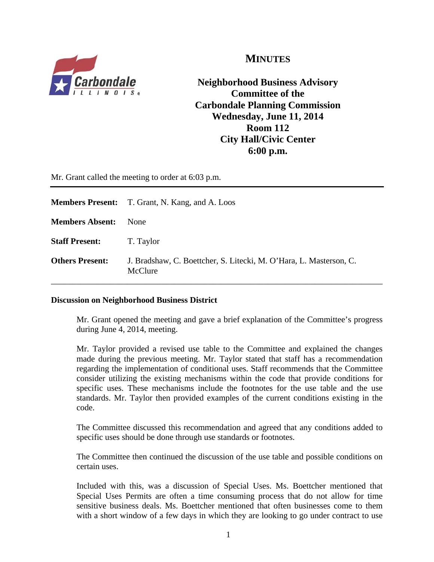

## **MINUTES**

**Neighborhood Business Advisory Committee of the Carbondale Planning Commission Wednesday, June 11, 2014 Room 112 City Hall/Civic Center 6:00 p.m.** 

Mr. Grant called the meeting to order at 6:03 p.m.

|                        | <b>Members Present:</b> T. Grant, N. Kang, and A. Loos                        |
|------------------------|-------------------------------------------------------------------------------|
| <b>Members Absent:</b> | None                                                                          |
| <b>Staff Present:</b>  | T. Taylor                                                                     |
| <b>Others Present:</b> | J. Bradshaw, C. Boettcher, S. Litecki, M. O'Hara, L. Masterson, C.<br>McClure |

## **Discussion on Neighborhood Business District**

Mr. Grant opened the meeting and gave a brief explanation of the Committee's progress during June 4, 2014, meeting.

 Mr. Taylor provided a revised use table to the Committee and explained the changes made during the previous meeting. Mr. Taylor stated that staff has a recommendation regarding the implementation of conditional uses. Staff recommends that the Committee consider utilizing the existing mechanisms within the code that provide conditions for specific uses. These mechanisms include the footnotes for the use table and the use standards. Mr. Taylor then provided examples of the current conditions existing in the code.

 The Committee discussed this recommendation and agreed that any conditions added to specific uses should be done through use standards or footnotes.

 The Committee then continued the discussion of the use table and possible conditions on certain uses.

 Included with this, was a discussion of Special Uses. Ms. Boettcher mentioned that Special Uses Permits are often a time consuming process that do not allow for time sensitive business deals. Ms. Boettcher mentioned that often businesses come to them with a short window of a few days in which they are looking to go under contract to use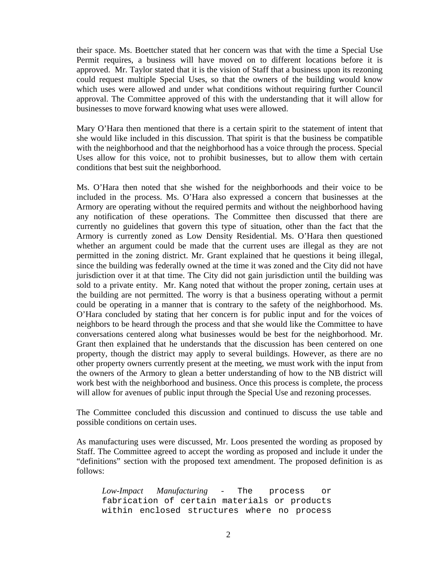their space. Ms. Boettcher stated that her concern was that with the time a Special Use Permit requires, a business will have moved on to different locations before it is approved. Mr. Taylor stated that it is the vision of Staff that a business upon its rezoning could request multiple Special Uses, so that the owners of the building would know which uses were allowed and under what conditions without requiring further Council approval. The Committee approved of this with the understanding that it will allow for businesses to move forward knowing what uses were allowed.

Mary O'Hara then mentioned that there is a certain spirit to the statement of intent that she would like included in this discussion. That spirit is that the business be compatible with the neighborhood and that the neighborhood has a voice through the process. Special Uses allow for this voice, not to prohibit businesses, but to allow them with certain conditions that best suit the neighborhood.

 Ms. O'Hara then noted that she wished for the neighborhoods and their voice to be included in the process. Ms. O'Hara also expressed a concern that businesses at the Armory are operating without the required permits and without the neighborhood having any notification of these operations. The Committee then discussed that there are currently no guidelines that govern this type of situation, other than the fact that the Armory is currently zoned as Low Density Residential. Ms. O'Hara then questioned whether an argument could be made that the current uses are illegal as they are not permitted in the zoning district. Mr. Grant explained that he questions it being illegal, since the building was federally owned at the time it was zoned and the City did not have jurisdiction over it at that time. The City did not gain jurisdiction until the building was sold to a private entity. Mr. Kang noted that without the proper zoning, certain uses at the building are not permitted. The worry is that a business operating without a permit could be operating in a manner that is contrary to the safety of the neighborhood. Ms. O'Hara concluded by stating that her concern is for public input and for the voices of neighbors to be heard through the process and that she would like the Committee to have conversations centered along what businesses would be best for the neighborhood. Mr. Grant then explained that he understands that the discussion has been centered on one property, though the district may apply to several buildings. However, as there are no other property owners currently present at the meeting, we must work with the input from the owners of the Armory to glean a better understanding of how to the NB district will work best with the neighborhood and business. Once this process is complete, the process will allow for avenues of public input through the Special Use and rezoning processes.

 The Committee concluded this discussion and continued to discuss the use table and possible conditions on certain uses.

 As manufacturing uses were discussed, Mr. Loos presented the wording as proposed by Staff. The Committee agreed to accept the wording as proposed and include it under the "definitions" section with the proposed text amendment. The proposed definition is as follows:

*Low-Impact Manufacturing* - The process or fabrication of certain materials or products within enclosed structures where no process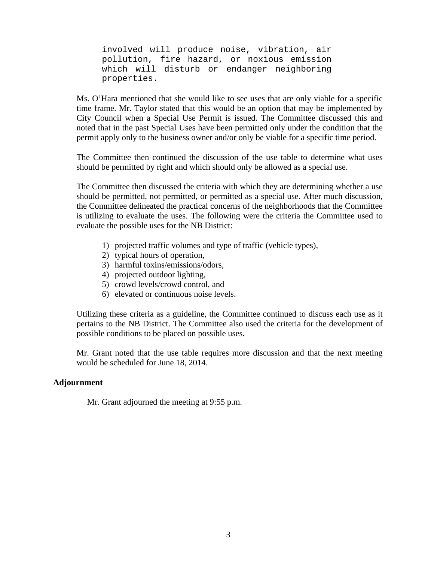involved will produce noise, vibration, air pollution, fire hazard, or noxious emission which will disturb or endanger neighboring properties.

 Ms. O'Hara mentioned that she would like to see uses that are only viable for a specific time frame. Mr. Taylor stated that this would be an option that may be implemented by City Council when a Special Use Permit is issued. The Committee discussed this and noted that in the past Special Uses have been permitted only under the condition that the permit apply only to the business owner and/or only be viable for a specific time period.

 The Committee then continued the discussion of the use table to determine what uses should be permitted by right and which should only be allowed as a special use.

 The Committee then discussed the criteria with which they are determining whether a use should be permitted, not permitted, or permitted as a special use. After much discussion, the Committee delineated the practical concerns of the neighborhoods that the Committee is utilizing to evaluate the uses. The following were the criteria the Committee used to evaluate the possible uses for the NB District:

- 1) projected traffic volumes and type of traffic (vehicle types),
- 2) typical hours of operation,
- 3) harmful toxins/emissions/odors,
- 4) projected outdoor lighting,
- 5) crowd levels/crowd control, and
- 6) elevated or continuous noise levels.

 Utilizing these criteria as a guideline, the Committee continued to discuss each use as it pertains to the NB District. The Committee also used the criteria for the development of possible conditions to be placed on possible uses.

 Mr. Grant noted that the use table requires more discussion and that the next meeting would be scheduled for June 18, 2014.

## **Adjournment**

Mr. Grant adjourned the meeting at 9:55 p.m.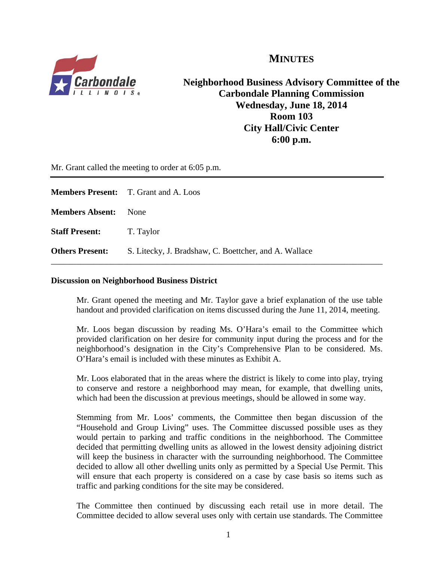

**MINUTES**

**Neighborhood Business Advisory Committee of the Carbondale Planning Commission Wednesday, June 18, 2014 Room 103 City Hall/Civic Center 6:00 p.m.** 

Mr. Grant called the meeting to order at 6:05 p.m.

|                                 | <b>Members Present:</b> T. Grant and A. Loos          |
|---------------------------------|-------------------------------------------------------|
| <b>Members Absent:</b>          | None                                                  |
| <b>Staff Present:</b> T. Taylor |                                                       |
| <b>Others Present:</b>          | S. Litecky, J. Bradshaw, C. Boettcher, and A. Wallace |

#### **Discussion on Neighborhood Business District**

Mr. Grant opened the meeting and Mr. Taylor gave a brief explanation of the use table handout and provided clarification on items discussed during the June 11, 2014, meeting.

 Mr. Loos began discussion by reading Ms. O'Hara's email to the Committee which provided clarification on her desire for community input during the process and for the neighborhood's designation in the City's Comprehensive Plan to be considered. Ms. O'Hara's email is included with these minutes as Exhibit A.

 Mr. Loos elaborated that in the areas where the district is likely to come into play, trying to conserve and restore a neighborhood may mean, for example, that dwelling units, which had been the discussion at previous meetings, should be allowed in some way.

 Stemming from Mr. Loos' comments, the Committee then began discussion of the "Household and Group Living" uses. The Committee discussed possible uses as they would pertain to parking and traffic conditions in the neighborhood. The Committee decided that permitting dwelling units as allowed in the lowest density adjoining district will keep the business in character with the surrounding neighborhood. The Committee decided to allow all other dwelling units only as permitted by a Special Use Permit. This will ensure that each property is considered on a case by case basis so items such as traffic and parking conditions for the site may be considered.

 The Committee then continued by discussing each retail use in more detail. The Committee decided to allow several uses only with certain use standards. The Committee